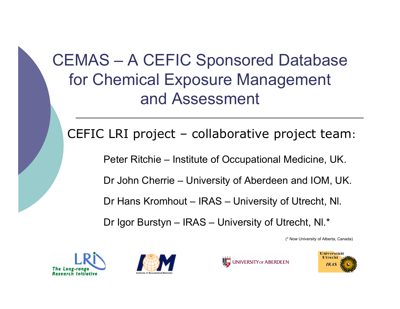### CEMAS – A CEFIC Sponsored Database for Chemical Exposure Management and Assessment

#### CEFIC LRI project – collaborative project team:

Peter Ritchie – Institute of Occupational Medicine, UK.

Dr John Cherrie – University of Aberdeen and IOM, UK.

Dr Hans Kromhout – IRAS – University of Utrecht, Nl.

Dr Igor Burstyn – IRAS – University of Utrecht, Nl.\*

(\* Now University of Alberta, Canada)







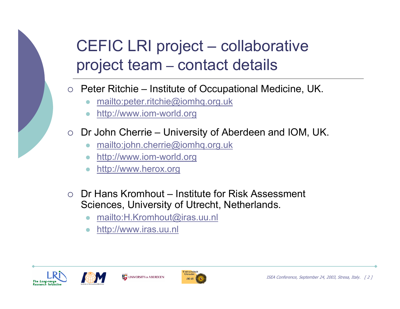### CEFIC LRI project – collaborative project team – contact details

 $\circ$  Peter Ritchie – Institute of Occupational Medicine, UK.

- $\bullet$ mailto:peter.ritchie@iomhq.org.uk
- $\bullet$ http://www.iom-world.org
- $\circ$  Dr John Cherrie University of Aberdeen and IOM, UK.
	- $\bullet$ mailto:john.cherrie@iomhq.org.uk
	- $\bullet$ http://www.iom-world.org
	- $\bullet$ http://www.herox.org
- $\circ$  Dr Hans Kromhout Institute for Risk Assessment Sciences, University of Utrecht, Netherlands.
	- $\bullet$ mailto:H.Kromhout@iras.uu.nl
	- $\bullet$ http://www.iras.uu.nl







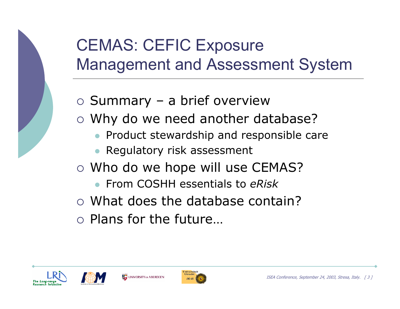

# CEMAS: CEFIC Exposure Management and Assessment System

- o Summary a brief overview
- o Why do we need another database?
	- $\bullet$ Product stewardship and responsible care
	- $\bullet$ Regulatory risk assessment
- $\circ$  Who do we hope will use CEMAS?
	- $\bullet$ From COSHH essentials to *eRisk*
- $\circ$  What does the database contain?
- $\circ$  Plans for the future...





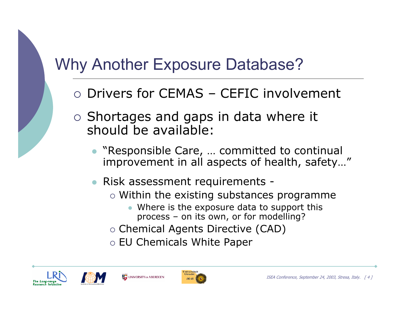# Why Another Exposure Database?

- $\circ$  Drivers for CEMAS CEFIC involvement
- $\circ$  Shortages and gaps in data where it should be available:
	- $\bullet$  "Responsible Care, … committed to continual improvement in all aspects of health, safety…"
	- $\bullet$  Risk assessment requirements -
		- $\circ$  Within the existing substances programme
			- $\bullet$  Where is the exposure data to support this process – on its own, or for modelling?
		- $\circ$  Chemical Agents Directive (CAD)
		- $\circ$  EU Chemicals White Paper







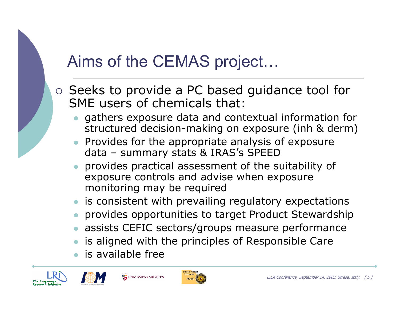# Aims of the CEMAS project…

- $\circ$  Seeks to provide a PC based guidance tool for SME users of chemicals that:
	- $\bullet$  gathers exposure data and contextual information for structured decision-making on exposure (inh & derm)
	- $\bullet$  Provides for the appropriate analysis of exposure data – summary stats & IRAS's SPEED
	- $\bullet$  provides practical assessment of the suitability of exposure controls and advise when exposure monitoring may be required
	- $\bullet\;$  is consistent with prevailing regulatory expectations
	- $\bullet$ provides opportunities to target Product Stewardship
	- $\bullet$ assists CEFIC sectors/groups measure performance
	- $\bullet$ is aligned with the principles of Responsible Care
	- $\bullet$ is available free

UNIVERSITY OF ABERDEEN





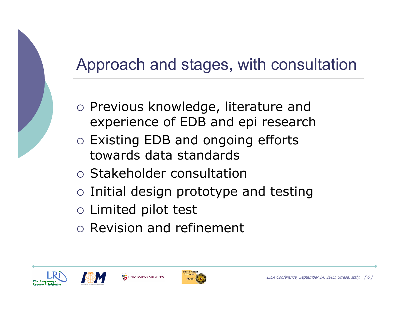# Approach and stages, with consultation

- o Previous knowledge, literature and experience of EDB and epi research
- { Existing EDB and ongoing efforts towards data standards
- { Stakeholder consultation
- $\circ$  Initial design prototype and testing
- $\circ$  Limited pilot test
- $\circ$  Revision and refinement







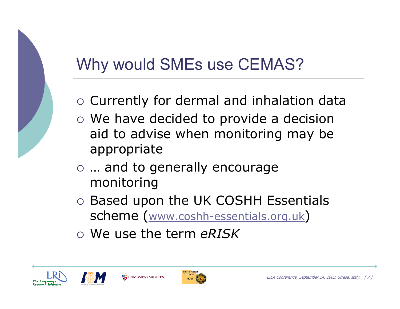# Why would SMEs use CEMAS?

- $\circ$  Currently for dermal and inhalation data
- $\circ$  We have decided to provide a decision aid to advise when monitoring may be appropriate
- $\circ$  ... and to generally encourage monitoring
- o Based upon the UK COSHH Essentials scheme (www.coshh-essentials.org.uk)
- { We use the term *eRISK*







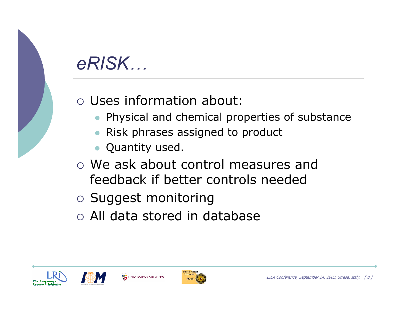# *eRISK…*

#### { Uses information about:

- $\bullet$ Physical and chemical properties of substance
- $\bullet$ Risk phrases assigned to product
- $\bullet$ Quantity used.
- $\circ$  We ask about control measures and feedback if better controls needed
- $\circ$  Suggest monitoring
- $\circ$  All data stored in database







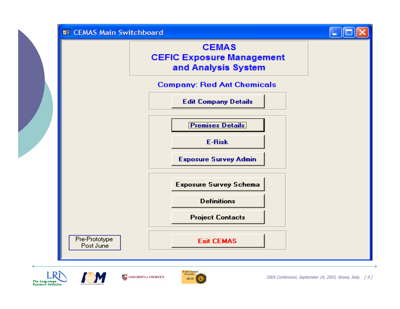

 $IRAS$ 

The Long-range **Research Initiative**  ISEA Conference, September 24, 2003, Stresa, Italy. [ 9 ]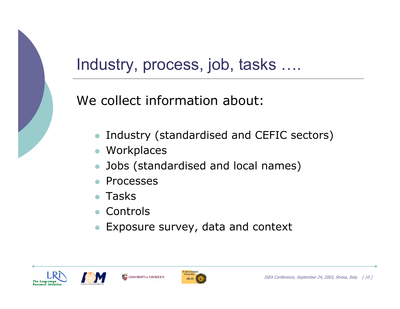

### Industry, process, job, tasks ….

We collect information about:

- $\bullet$ Industry (standardised and CEFIC sectors)
- Workplaces
- $\bullet$ Jobs (standardised and local names)
- $\bullet$ Processes
- $\bullet$ Tasks
- $\bullet$ Controls
- $\bullet$ Exposure survey, data and context







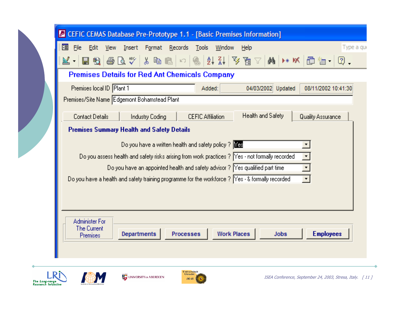| CEFIC CEMAS Database Pre-Prototype 1.1 - [Basic Premises Information]                                                         |
|-------------------------------------------------------------------------------------------------------------------------------|
| 图<br>Edit<br>Insert Format Records<br>Tools<br>Window<br>File<br>View<br>Type a que<br>Help                                   |
| Hq & Q $^*$ & & C $\sim$ 8 & C $\sim$ 8 $\mu$ $\mu$ $\sim$ 8 $\sim$ 6 $\mu$ $\sim$ $\sim$ 6<br>∐ א                            |
| <b>Premises Details for Red Ant Chemicals Company</b>                                                                         |
| Premises local ID Plant 1<br>04/03/2002 Updated<br>08/11/2002 10:41:30<br>Added:                                              |
| Premises/Site Name Edgemont Bohamstead Plant                                                                                  |
| Health and Safety<br><b>Contact Details</b><br><b>CEFIC Affiliation</b><br><b>Quality Assurance</b><br><b>Industry Coding</b> |
| <b>Premises Summary Health and Safety Details</b>                                                                             |
| Do you have a written health and safety policy ? $Y \rvert Y \rvert$                                                          |
| Do you assess health and safety risks arising from work practices ? Yes - not formally recorded                               |
| Do you have an appointed health and safety advisor ? Yes qualified part time                                                  |
| Do you have a health and safety training programme for the workforce ? [Yes - & formally recorded<br>$\vert$                  |
|                                                                                                                               |
|                                                                                                                               |
| <b>Administer For</b><br>The Current                                                                                          |
| <b>Employees</b><br>Departments<br><b>Work Places</b><br>Processes<br><b>Jobs</b><br><b>Premises</b>                          |
|                                                                                                                               |
| Universiteit<br>Utrecht<br>I DN                                                                                               |





 $IRAS$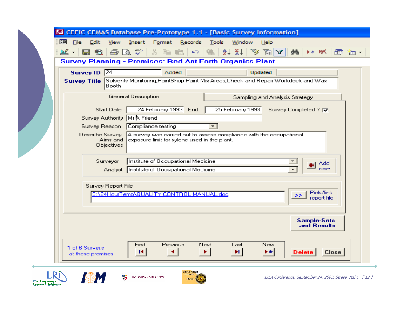| ♬ | <b>CEFIC CEMAS Database Pre-Prototype 1.1 - [Basic Survey Information]</b><br>FBI<br>File<br>Edit<br>Format Records<br>Tools<br>Window<br>View<br>Insert<br>Help                        |
|---|-----------------------------------------------------------------------------------------------------------------------------------------------------------------------------------------|
|   | 母はい<br>$2$ $\frac{21}{4}$<br>$\mathbf{v} \in \mathbb{R}$<br>풂.<br>日も<br>■ ■<br>đâ<br>$\mathbb{R}$ -<br>D∗ MX<br>KO.<br>画゛■・                                                             |
|   | <b>Survey Planning - Premises: Red Ant Forth Organics Plant</b>                                                                                                                         |
|   | Survey ID 24<br>Added<br><b>Updated</b>                                                                                                                                                 |
|   | Survey Title Solvents Monitoring; PaintShop Paint Mix Areas, Check and Repair Workdeck and Wax<br>Booth                                                                                 |
|   | General Description<br>Sampling and Analysis Strategy                                                                                                                                   |
|   | 24 February 1993 End<br>25 February 1993<br>Survey Completed ? <b>I</b><br><b>Start Date</b>                                                                                            |
|   | Survey Authority Mr A Friend<br>Compliance testing<br>Survey Reason<br>▾                                                                                                                |
|   | Describe Survey<br>$\bm{\mathsf{A}}$ survey was carried out to assess compliance with the occupational<br>Aims and<br>exposure limit for xylene used in the plant.<br><b>Objectives</b> |
|   | Institute of Occupational Medicine<br>Surveyor<br>Add<br>new<br>Analyst Institute of Occupational Medicine                                                                              |
|   | Survey Report File<br>Pick/link<br>S:\24HourTemp\QUALITY CONTROL MANUAL.doc<br>$\rightarrow$<br>report file                                                                             |
|   | <b>Sample-Sets</b><br>and Results                                                                                                                                                       |
|   | First<br>Previous<br>Next<br>New<br>Last<br>1 of 6 Surveys<br>$\blacktriangleright$<br>$\blacktriangleright$ $\ast$<br>Delete<br><b>Close</b><br>м<br>at these premises                 |
|   |                                                                                                                                                                                         |



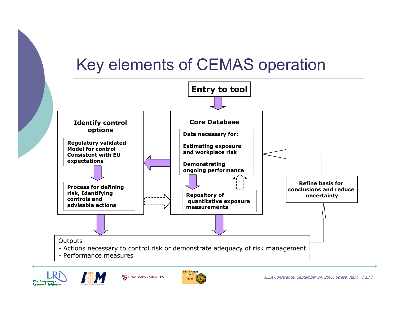### Key elements of CEMAS operation







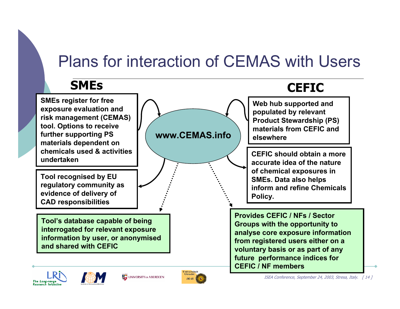### Plans for interaction of CEMAS with Users

#### **SMEs**

**SMEs register for free exposure evaluation and risk management (CEMAS) tool. Options to receive further supporting PS materials dependent on chemicals used & activities undertaken**

**Tool recognised by EU regulatory community as evidence of delivery of CAD responsibilities**

**Tool's database capable of being interrogated for relevant exposure information by user, or anonymised and shared with CEFIC**



#### **CEFIC**

**Web hub supported and populated by relevant Product Stewardship (PS) materials from CEFIC and elsewhere**

**CEFIC should obtain a more accurate idea of the nature of chemical exposures in SMEs. Data also helps inform and refine Chemicals Policy.** 

**Provides CEFIC / NFs / Sector Groups with the opportunity to analyse core exposure information from registered users either on a voluntary basis or as part of any future performance indices for CEFIC / NF members**







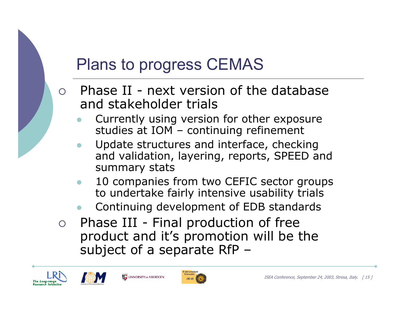# Plans to progress CEMAS

- $\bigcirc$  Phase II - next version of the database and stakeholder trials
	- $\bullet$  Currently using version for other exposure studies at IOM – continuing refinement
	- $\bullet$  Update structures and interface, checking and validation, layering, reports, SPEED and summary stats
	- $\bullet$  10 companies from two CEFIC sector groups to undertake fairly intensive usability trials
	- $\bullet$ Continuing development of EDB standards
- ${\bigcirc}$  Phase III - Final production of free product and it's promotion will be the subject of a separate RfP –







UNIVERSITY OF ABERDEEN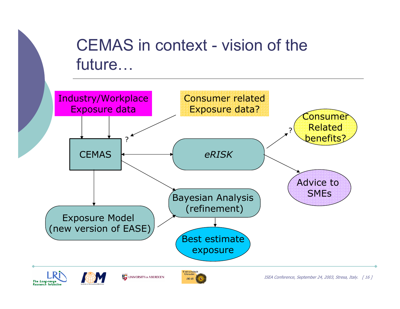### CEMAS in context - vision of the future…